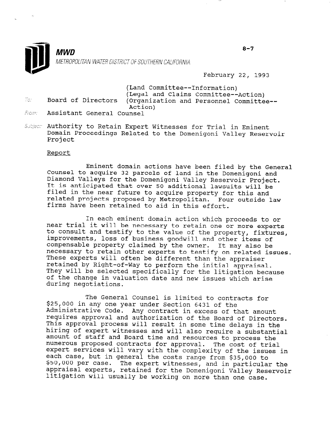

February 22, 1993

(Land Committee--Information) (Legal and Claims Committee--Action) Board of Directors (Organization and Personnel Committee-- Action)

- Assistant General Counsel From:
- Subject: Authority to Retain Expert Witnesses for Trial in Eminent Domain Proceedings Related to the Domenigoni Valley Reservoir Project

## Report

To:

Eminent domain actions have been filed by the General Counsel to acquire 32 parcels of land in the Domenigoni and Diamond Valleys for the Domenigoni Valley Reservoir Project. It is anticipated that over 50 additional lawsuits will be filed in the near future to acquire property for this and related projects proposed by Metropolitan. Four outside law firms have been retained to aid in this effort.

In each eminent domain action which proceeds to or near trial it will be necessary to retain one or more experts to consult and testify to the value of the property, fixtures, improvements, loss of business goodwill and other items of compensable property claimed by the owner. It may also be necessary to retain other experts to testify on related issues. These experts will often be different than the appraiser retained by Right-of-Way to perform the initial appraisal. They will be selected specifically for the litigation because of the change in valuation date and new issues which arise during negotiations.

The General Counsel is limited to contracts for \$25,000 in any one year under Section 6431 of the Administrative Code. Any contract in excess of that amount requirectative code. Any contract in excess of that amount It approval and addition of the Board of Director hiring of expert witnesses and will also require a substantial amount of staff and Board time and resources to provide a substant amount of staff and board time and resources to process the numerous proposed concracts for approval. The cost of trial expert services will vary with the complexity of the issues in<br>each case, but in general the costs range from \$35,000 to each case, but in general the costs ra ppo, oud per case and in particular the<br>And in particular the rne expert withesses, and in particular the model of the Domenigoni Valley Reservoir appraisai experts, retained for the Domenigoni Valley Re

 $8 - 7$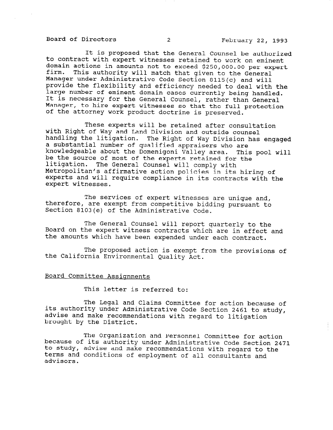Board of Directors 2 2 February 22, 1993

It is proposed that the General Counsel be authorized to contract with expert witnesses retained to work on eminent domain actions in amounts not to exceed \$250,000.00 per expert firm. This authority will match that given to the General Manager under Administrative Code Section 8115(c) and will provide the flexibility and efficiency needed to deal with the large number of eminent domain cases currently being handled. It is necessary for the General Counsel, rather than General Manager, to hire expert witnesses so that the full protection of the attorney work product doctrine is preserved.

These experts will be retained after consultation with Right of Way and Land Division and outside counsel handling the litigation. The Right of Way Division has engaged a substantial number of qualified appraisers who are knowledgeable about the Domenigoni Valley area. This pool will be the source of most of the experts retained for the litigation. The General Counsel will comply with Metropolitan's affirmative action policies in its hiring of experts and will require compliance in its contracts with the expert witnesses.

therefore, are exempt from competitive bidding pursuant to The services of expert witnesses are unique and, Section 8103(e) of the Administrative Code.

The General Counsel will report quarterly to the Board on the expert witness contracts which are in effect and the amounts which have been expended under each contract.

The proposed action is exempt from the provisions of the California Environmental Quality Act.

## Board Committee Assignments

This letter is referred to:

The Legal and Claims Committee for action because of its authority under Administrative Code Section 2461 to study, advise and make recommendations with regard to litigation aavise and make recor

The Organization and Personnel Committee for action because of its authority under Administrative Code Section 2471 to study, advise and make recommendations with regard to the to study, advise and make recommendations with regard to advisors.